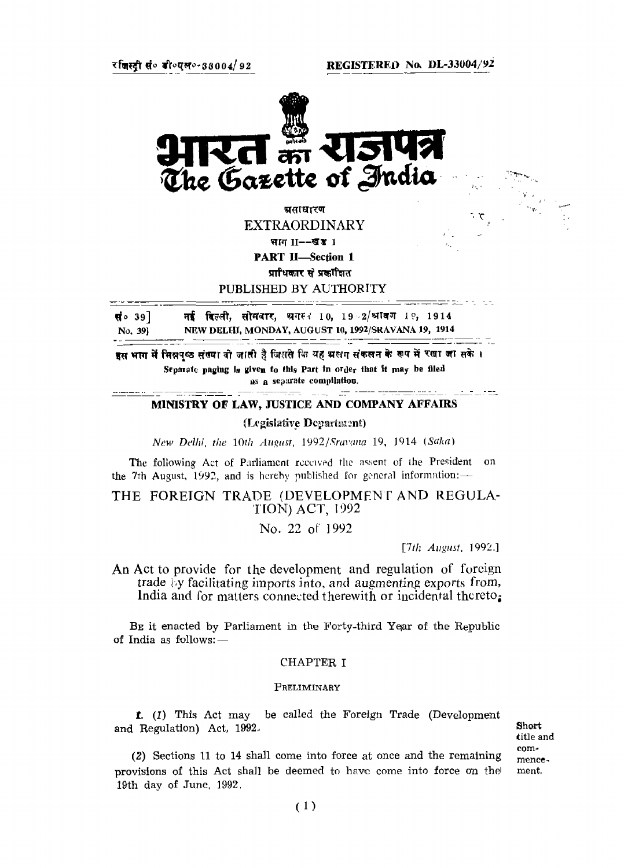

असाधारण EXTRAORDINARY भाग II--खड**ा** 

PART II-Section 1

प्राधिकार से प्रकांशित

PUBLISHED BY AUTHORITY

नई दिल्ली, सोमवार, भगस्त 10, 19⇒2/श्रावण 1२, 1914 सं $\circ$  39] No, 39] NEW DELHI, MONDAY, AUGUST 10, 1992/SRAVANA 19, 1914

इस भाग में मिन्नपुष्ठ संख्या वो जाती है जिससे कि यह भ्रुष्ठम संकलन के रूप में रखा जा सके । Separate paging is given to this Part in order that it may be filed as a separate compilation.

#### لمعاملته فللقاء MINISTRY OF LAW, JUSTICE AND COMPANY AFFAIRS

-- - - - -

## (Legislative Department)

*New Delhi, the 10th August. 1992/Sravana* 19, 1914 *(Saka)*

The following Act of Parliament received the assert of the President on the 7th August, 1992, and is hereby published for general information:-

THE FOREIGN TRADE (DEVELOPMENT AND REGULA-TION) ACT, 1992

No. 22 of 1992

*17th August,* 1992.]

م د

------- . . . . .

An Act to provide for the development and regulation of foreign trade by facilitating imports into, and augmenting exports from, India and for matters connected therewith or incidental thereto;

BE it enacted by Parliament in the Forty-third Year of the Republic of India as follows:—

## CHAPTER I

#### PRELIMINARY

1. (I) This Act may be called the Foreign Trade (Development and Regulation) Act, 1992.

Short title and commencement.

(2) Sections 11 to 14 shall come into force at once and the remaining provisions of this Act shall be deemed to have come into force on the! 19th day of June, 1992.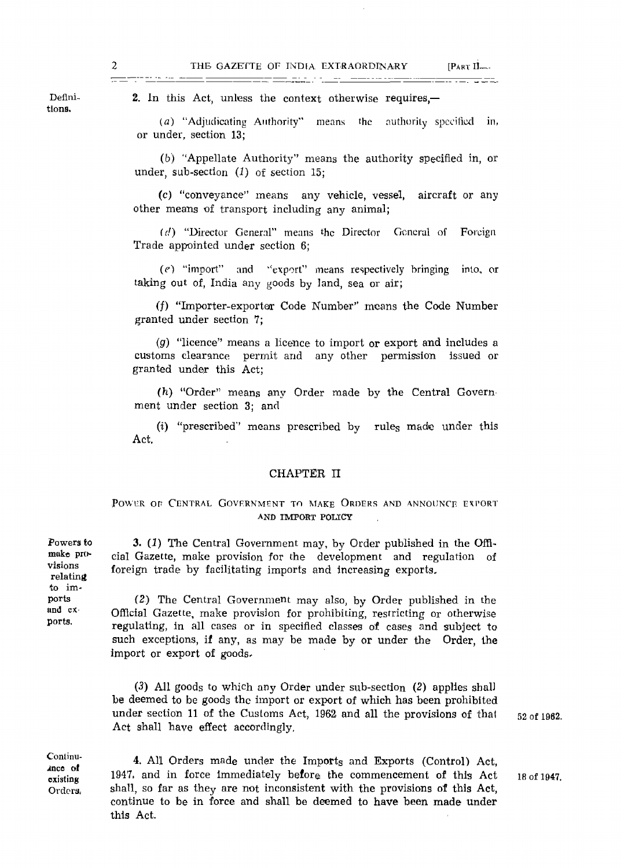2. In this Act, unless the context otherwise requires,—

(a) "Adjudicating Authority" means the authority specified in, or under, section 13;

(b) "Appellate Authority" means the authority specified in, or under, sub-section *(1)* of section 15;

(c) "conveyance" means any vehicle, vessel, aircraft or any other means of transport including any animal;

*id)* "Director General" means the Director General of Foreign Trade appointed under section 6;

(f) "import" and <sup>L</sup>'export" means respectively bringing into, or taking out of, India any goods by land, sea or air;

(f) "Importer-exporter Code Number" means the Code Number granted under section 7;

(p) "licence" means a licence to import or export and includes a customs clearance permit and any other permission issued or granted under this Act;

*(h)* "Order" means any Order made by the Central Govern ment under section 3; and

(i) "prescribed"' means prescribed by rules made under this Act.

# CHAPTER II

# POWER OF CENTRAL GOVERNMENT TO MAKE ORDERS AND ANNOUNCE EXPORT AND IMPORT POLICY

3. (J) The Central Government may, by Order published in the Official Gazette, make provision for the development and regulation of foreign trade by facilitating imports and increasing exports.

(2) The Central Government may also, by Order published in the Official Gazette, make provision for prohibiting, restricting or otherwise regulating, in all cases or in specified classes of cases and subject to such exceptions, if any, as may be made by or under the Order, the import or export of goods.

*(3)* All goods to which any Order under sub-section (2) applies shall be deemed to be goods the import or export of which has been prohibited under section 11 of the Customs Act, 1962 and all the provisions of that Act shall have effect accordingly,

52 of 1962.

Continuance of existing Orders,

Powers to make provisions relating to imports and exports.

> 4. All Orders made under the Imports and Exports (Control) Act, 1947, and in force immediately before the commencement of this Act shall, so far as they are not inconsistent with the provisions of this Act, continue to be in force and shall be deemed to have been made under this Act.

Definitions.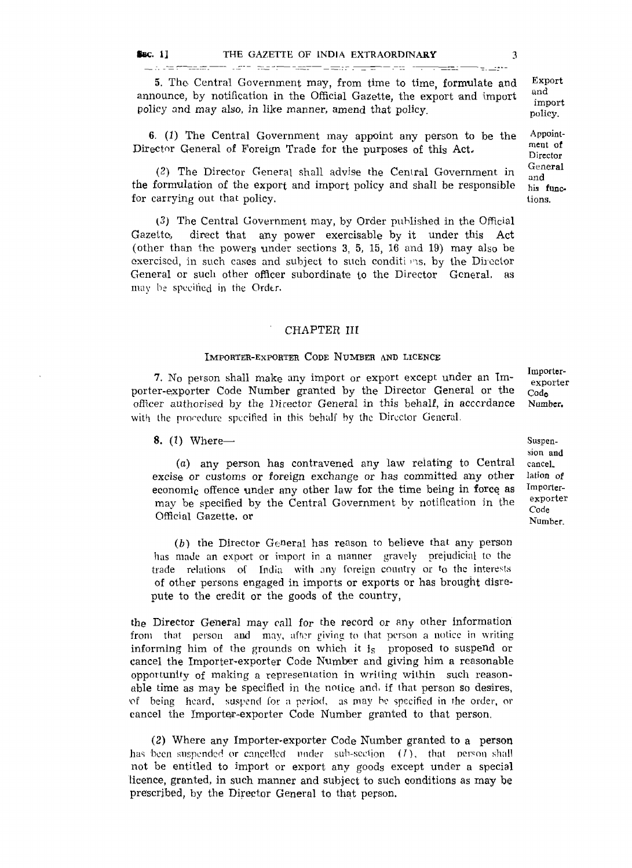5. The Central Government may, from time to time, formulate and announce, by notification in the Official Gazette, the export and import policy and may also, in like manner, amend that policy.

6. *(1)* The Central Government may appoint any person to be the Director General of Foreign Trade for the purposes of this Act-

(2) The Director General shall advise the Central Government in the formulation of the export and import policy and shall be responsible for carrying out that policy.

(3) The Central Government may, by Order published in the Official Gazette, direct that any power exercisable by it under this Act (other than the powers under sections 3, 5, 15, 16 and 19) may also be exercised, in such cases and subject to such conditions, by the Director General or such other officer subordinate to the Director General, as may be specified in the Order.

## CHAPTER III

## IMPORTER-EXPORTER CODE NUMBER AND LICENCE

7. No person shall make any import or export except under an Importer-exporter Code Number granted by the Director General or the officer authorised by the Director General in this behalf, in accordance with the procedure specified in this behalf by the Director General.

## 8. (I) Where—

(a) any person has contravened any law relating to Central excise or customs or foreign exchange or has committed any other economic offence under any other law for the time being in force as may be specified by the Central Government by notification in the Official Gazette, or

*(b)* the Director General has reason to believe that any person has made an export or import in a manner gravely prejudicial to the trade relations of India with any foreign country or \*o the interests of other persons engaged in imports or exports or has brought disrepute to the credit or the goods of the country,

the Director General may call for the record or any other information from that person and may, after giving to that person a notice in writing informing him of the grounds on which it i<sup>s</sup> proposed to suspend or cancel the Importer-exporter Code Number and giving him a reasonable opportunity of making a representation in writing within such reasonable time as may be specified in the notice and, if that person so desires, 'of being heard, suspend for a period, as may be specified in the order, or cancel the Importer-exporter Code Number granted to that person.

(2) Where any Importer-exporter Code Number granted to a person has been suspended or cancelled under sub-section  $(1)$ , that person shall not be entitled to import or export any goods except under a special licence, granted, in such manner and subject to such conditions as may be prescribed, by the Director General to that person.

Suspension and cancel, lation of Importerexporter Code

Number.

Importerexporter Code Number.

policy.

Appointment of Director General and his functions.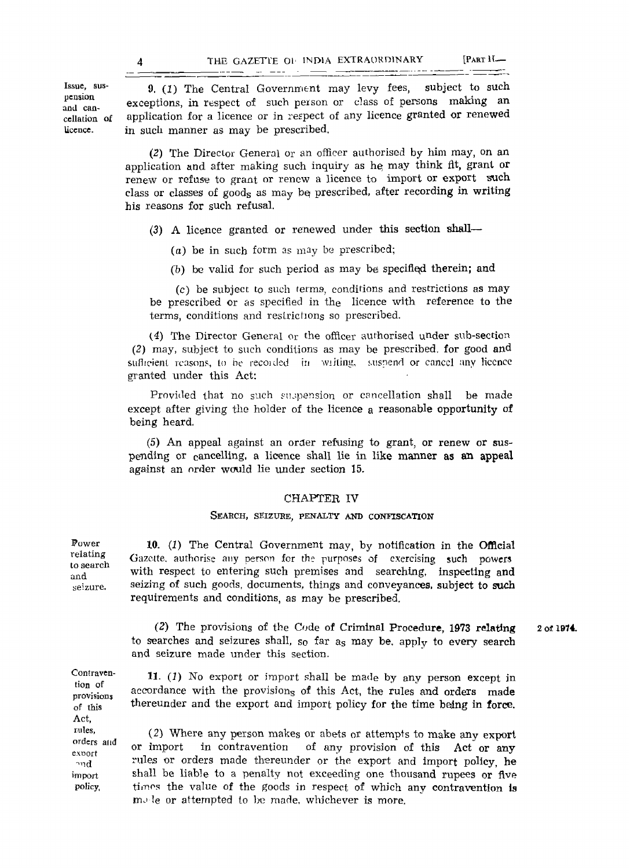Issue, suspension and cancellation, of licence.

9. (I) The Central Government may levy fees, subject to such exceptions, in respect of such person or class of persons making an application for a licence or in respect of any licence granted or renewed in such manner as may be prescribed.

(2) The Director General or an officer authorised by him may, on an application and after making such inquiry as he, may think fit, grant or renew or refuse to grant or renew a licence to import or export such class or classes of goods as may be prescribed, after recording in writing his reasons for such refusal.

(3) A licence granted or renewed under this section shall—

(a) be in such form as  $\max$  be prescribed;

(b) be valid for such period as may be specified therein; and

(c) be subject to such terms, conditions and restrictions as may be prescribed or as specified in the licence with reference to the terms, conditions and restrictions so prescribed.

(4) The Director General or the officer authorised under sub-section (2) may, subject to such conditions as may be prescribed, for good and sufficient reasons, to be recoided in writing, suspend or cancel any licence granted under this Act:

Provided that no such suspension or cancellation shall be made except after giving the holder of the licence a reasonable opportunity of being heard.

(5) An appeal against an order refusing to grant, or renew or suspending or cancelling, a licence shall lie in like manner as an appeal against an order would lie under section 15.

## CHAPTER IV

## SEARCH, SEIZURE, PENALTY AND CONFISCATION

10. *(1)* The Central Government may, by notification in the Official Gazette, authorise any person for the purposes of exercising such powers with respect to entering such premises and searching, inspecting and seizing of such goods, documents, things and conveyances, subject to such requirements and conditions, as may be prescribed.

*(2)* The provisions of the Code of Criminal Procedure, 1973 relating to searches and seizures shall, so far a<sup>s</sup> may be, apply to every search and seizure made under this section. 2 of 1974.

Contravention of provisions of this Act, rules, orders and export -md import

policy,

Power relating to search and seizure.

> 11. *(1)* No export or import shall be made by any person except in accordance with the provision<sub>s</sub> of this Act, the rules and orders made thereunder and the export and import policy for the time being in force.

(2) Where any person makes or abets or attempts to make any export or import in contravention of any provision of this Act or any rules or orders made thereunder or the export and import policy, he shall be liable to a penalty not exceeding one thousand rupees or five timos the value of the goods in respect of which any contravention is  $m$  le or attempted to be made, whichever is more.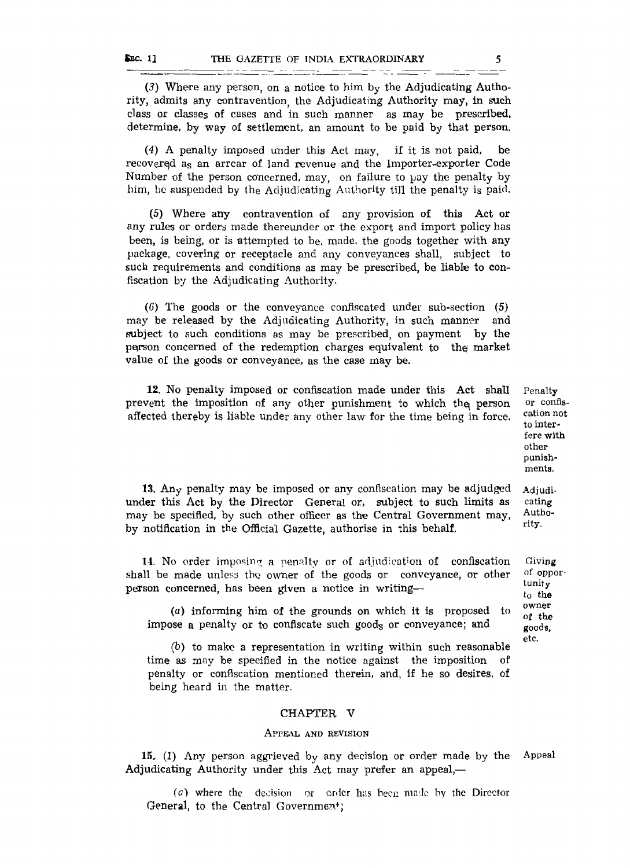(3) Where any person, on a notice to him by the Adjudicating Authority, admits any contravention the Adjudicating Authority may, in such class or classes of cases and in such manner as may be prescribed, determine, by way of settlement, an amount to be paid by that person.

<u> 1986 - Andrew Marie Barnett, mensk foar fan de ferske fan de ferske fan de ferske fan de ferske fan de ferske</u>

(4) A penalty imposed under this Act may, if it is not paid, be recovered a<sup>s</sup> an arrcar of land revenue and the Importer-exporter Code Number of the person concerned, may, on failure to pay the penalty by him, be suspended by the Adjudicating Authority till the penalty is paid.

(5) Where any contravention of any provision of this Act or any rules or orders made thereunder or the export and import policy has been, is being, or is attempted to be, made, the goods together with any package, covering or receptacle and any conveyances shall, subject to such requirements and conditions as may be prescribed, be liable to confiscation by the Adjudicating Authority.

(C) The goods or the conveyance confiscated under sub-section (5) may be released by the Adjudicating Authority, in such manner and subject to such conditions as may be prescribed, on payment by the person concerned of the redemption charges equivalent to the market value of the goods or conveyance, as the case may be.

12. No penalty imposed or confiscation made under this Act shall prevent the imposition of any other punishment to which the person affected thereby is liable under any other law for the time being in force.

Penalty or confiscation not to interfere with other punishments.

Adjudicating Authority.

Oiving of opportunity to the owner of the good?, etc.

13. Any penalty may be imposed or any confiscation may be adjudged under this Act by the Director General or, subject to such limits as may be specified, by such other officer as the Central Government may, by notification in the Official Gazette, authorise in this behalf.

14. No order imposing a penalty or of adjudication of confiscation shall be made unless the owner of the goods or conveyance, or other person concerned, has been given a notice in writing—

(a) informing him of the grounds on which it is proposed to impose a penalty or to confiscate such goods or conveyance; and

(b) to make a representation in writing within such reasonable time as may be specified in the notice against the imposition penalty or confiscation mentioned therein, and, if he so desires, of being heard in the matter.

#### CHAPTER V

#### APPEAL AND REVISION

15. (1) Any person aggrieved by any decision or order made by the Adjudicating Authority under this Act may prefer an appeal,— Appeal

( $a$ ) where the decision or order has been made by the Director General, to the Central Government;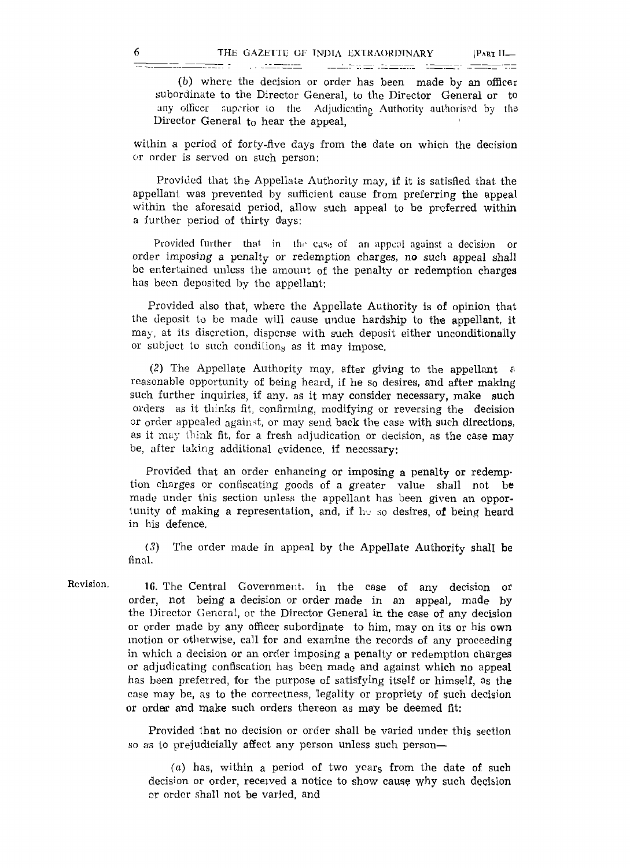(b) where the decision or order has been made by an officer subordinate to the Director General, to the Director General or to any officer superior to the Adjudicating Authority authorised by the Director General to hear the appeal,

 $\begin{minipage}{.4\linewidth} \begin{tabular}{l} \hline \textbf{1} & \textbf{2} & \textbf{3} & \textbf{3} \\ \hline \textbf{2} & \textbf{3} & \textbf{1} & \textbf{2} \\ \hline \textbf{3} & \textbf{1} & \textbf{3} & \textbf{3} \\ \hline \textbf{4} & \textbf{1} & \textbf{1} & \textbf{3} \\ \hline \textbf{5} & \textbf{1} & \textbf{1} & \textbf{1} \\ \hline \textbf{6} & \textbf{1} & \textbf{1} & \textbf{1} \\ \hline \textbf{7} & \textbf{$ 

within a period of forty-five days from the date on which the decision or order is served on such person:

Provided that the Appellate Authority may, if it is satisfied that the appellant was prevented by sufficient cause from preferring the appeal within the aforesaid period, allow such appeal to be preferred within a further period of thirty days:

Provided further that in the case of an appeal against a decision or order imposing a penalty or redemption charges, no such appeal shall be entertained unless the amount of the penalty or redemption charges has been deposited by the appellant:

Provided also that, where the Appellate Authority is of opinion that the deposit to be made will cause undue hardship to the appellant, it may, at its discretion, dispense with such deposit either unconditionally or subject to such condition<sub>s</sub> as it may impose.

(2) The Appellate Authority may, after giving to the appellant  $\alpha$ reasonable opportunity of being heard, if he so desires, and after making such further inquiries, if any, as it may consider necessary, make such orders as it thinks fit, confirming, modifying or reversing the decision or order appealed against, or may send back the case with such directions, as it may think fit, for a fresh adjudication or decision, as the case may be, after taking additional evidence, if necessary:

Provided that an order enhancing or imposing a penalty or redemption charges or confiscating goods of a greater value shall not be made under this section unless the appellant has been given an opportunity of making a representation, and, if he so desires, of being heard in his defence,

(3) The order made in appeal by the Appellate Authority shall be final.

Revision.

1C. The Central Government, in the case of any decision or order, not being a decision or order made in an appeal, made by the Director General, or the Director General in the ease of any decision or order made by any officer subordinate to him, may on its or his own motion or otherwise, call for and examine the records of any proceeding in which a decision or an order imposing a penalty or redemption charges or adjudicating confiscation has been made and against which no appeal has been preferred, for the purpose of satisfying itself or himself, as the case may be, as to the correctness, legality or propriety of such decision or order and make such orders thereon as may be deemed fit:

Provided that no decision or order shall be varied under this section so as to prejudicially affect any person unless such person—

(a) has, within a period of two ycar<sup>s</sup> from the date of such decision or order, received a notice to show cause why such decision nr order shall not be varied, and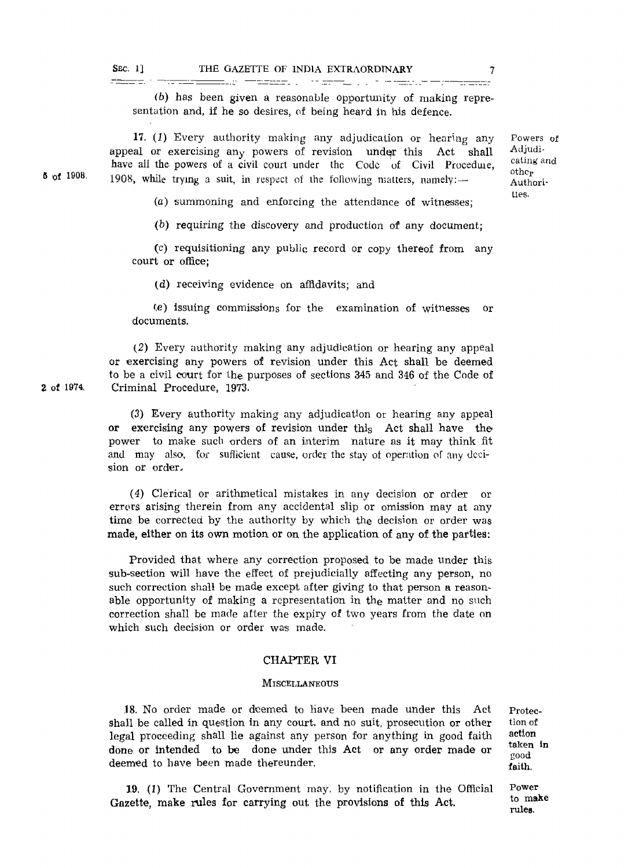$\equiv$   $\equiv$   $\equiv$ 

 $(b)$  has been given a reasonable opportunity of making representation and, if he so desires, of being heard in his defence.

17.  $(1)$  Every authority making any adjudication or hearing any appeal or exercising any powers of revision under this Act shall have all the powers of a civil court under the Code of Civil Procedure, 1908, while trying a suit, in respect of the following matters, namely:— **8 of 1908.**

Powers of Adjudicating and othc<sup>r</sup> Authorities.

(a) summoning and enforcing the attendance of witnesses;

 $(b)$  requiring the discovery and production of any document;

(c) requisitioning any public record or copy thereof from any court or office;

(d) receiving evidence on affidavits; and

(e) issuing commissions for the examination of witnesses or documents.

(2) Every authority making any adjudication or hearing any appeal or exercising any powers of revision under this Act shall be deemed to be a civil court for the purposes of sections 345 and 346 of the Code of Criminal Procedure, 1973.

(3) Every authority making any adjudication or hearing any appeal or exercising any powers of revision under this Act shall have the power to make such orders of an interim nature as it may think fit and may also, for sufficient cause, order the stay of operation of any decision or order.

(4) Clerical or arithmetical mistakes in any decision or order or errors arising therein from any accidental slip or omission may at any time be corrected by the authority by which the decision or order was made, either on its own motion or on the application of any of the parties:

Provided that where any correction proposed to be made under this sub-section will have the effect of prejudicially affecting any person, no such correction shall be made except after giving to that person a reasonable opportunity of making a representation in the matter and no such correction shall be made after the expiry of two years from the date on which such decision or order was made.

## CHAPTER VI

#### **MISCELLANEOUS**

.18. No order made or deemed to have been made under this Act shall be called in question in any court, and no suit, prosecution or other legal proceeding shall lie against any person for anything in good faith done or Intended to be done under this Act or any order made or deemed to have been made thereunder.

Protection of **action taken in good faith.**

**Power to make rules.**

19. (1) The Central Government may, by notification in the Official Gazette, make rules for carrying out the provisions of this Act.

**2 of 1974,**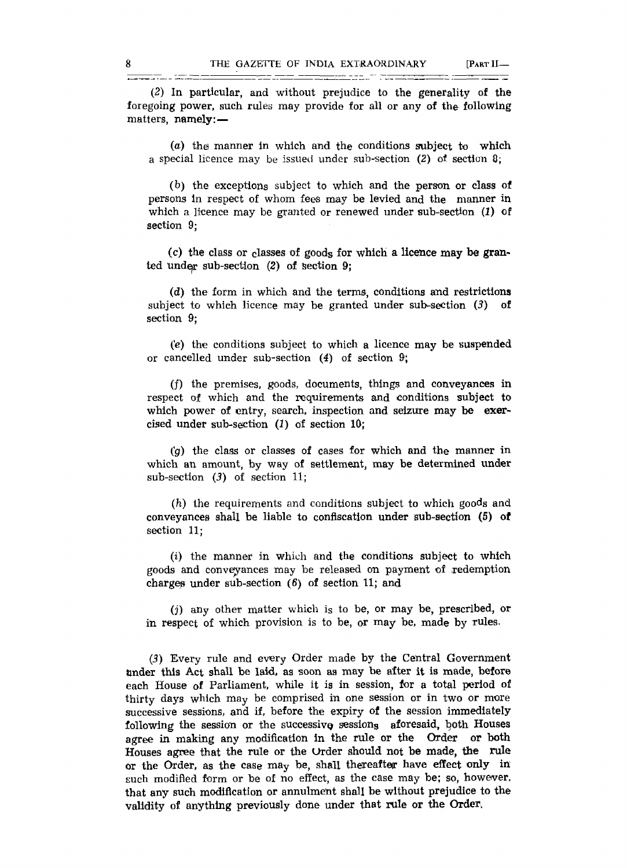(2) In particular, and without prejudice to the generality of the foregoing power, such rules may provide for all or any of the following matters, namely: —

(a) the) manner In which and the conditions subject to which a special licence may be issued under sub-section (2) of section 8;

(b) the exceptions subject to which and the person or class of persons in respect of whom fees may be levied and the manner in which a licence may be granted or renewed under sub-section (1) of section 9;

(c) the class or classes of goods for which a licence may be granted Undep sub-section (2) of section 9;

(d) the form in which and the terms, conditions and restrictions subject to which licence may be granted under sub-section  $(3)$  of section 9;

*(e)* the conditions subject to which a licence may be suspended or cancelled under sub-section (4) of section 9;

(f) the premises, goods, documents, things and conveyances in respect of which and the requirements and conditions subject to which power of entry, search, inspection and seizure may be exercised under sub-section  $(1)$  of section  $10$ ;

*(g)* the class or classes of cases for which and the manner in which an amount, by way of settlement, may be determined under sub-section *(3)* of section 11;

(h) the requirements and conditions subject to which goods and conveyances shall be liable to confiscation under sub-section (5) of section 11;

(i) the manner in which and the conditions subject to which goods and conveyances may be released on payment of redemption charges under sub-section (6) of section 11; and

*(j)* any other matter which i<sup>s</sup> to be, or may be, prescribed, or in respect of which provision is to be, or may be, made by rules.

*(3)* Every rule and every Order made by the Central Government under this Act shall be laid, as soon as may be after it is made, before each House of Parliament, while it is in session, for a total period of thirty days which may be comprised in one session or in two or more successive sessions, and if, before the expiry of the session immediately following the session or the successive sessions aforesaid, both Houses agree in making any modification in the rule or the Order or both Houses agree that the rule or the Order should not be made, the rule or the Order, as the case may be, shall thereafter have effect only in such modified form or be of no effect, as the case may be; so, however, that any such modification or annulment shall be without prejudice to the validity of anything previously done under that rule or the Order.